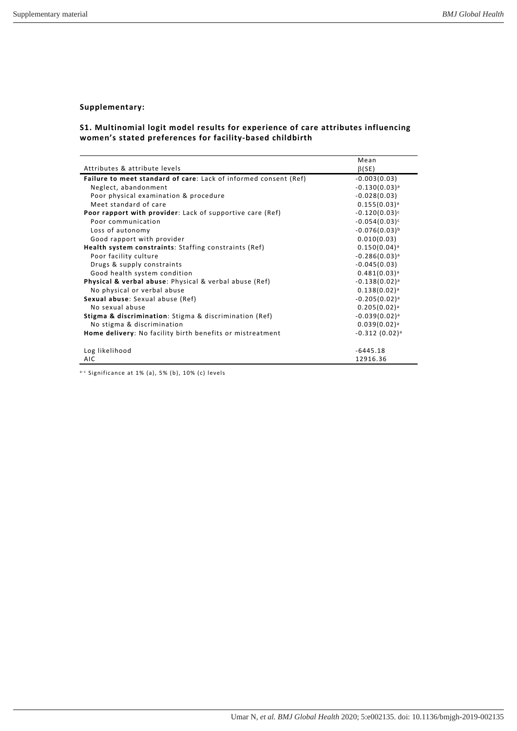## **Supplementary:**

## **S1. Multinomial logit model results for experience of care attributes influencing women's stated preferences for facility-based childbirth**

|                                                                         | Mean                       |
|-------------------------------------------------------------------------|----------------------------|
| Attributes & attribute levels                                           | $\beta$ (SE)               |
| <b>Failure to meet standard of care:</b> Lack of informed consent (Ref) | $-0.003(0.03)$             |
| Neglect, abandonment                                                    | $-0.130(0.03)^{a}$         |
| Poor physical examination & procedure                                   | $-0.028(0.03)$             |
| Meet standard of care                                                   | $0.155(0.03)^{a}$          |
| <b>Poor rapport with provider:</b> Lack of supportive care (Ref)        | $-0.120(0.03)^c$           |
| Poor communication                                                      | $-0.054(0.03)^c$           |
| Loss of autonomy                                                        | $-0.076(0.03)^{b}$         |
| Good rapport with provider                                              | 0.010(0.03)                |
| Health system constraints: Staffing constraints (Ref)                   | $0.150(0.04)$ <sup>a</sup> |
| Poor facility culture                                                   | $-0.286(0.03)^{a}$         |
| Drugs & supply constraints                                              | $-0.045(0.03)$             |
| Good health system condition                                            | $0.481(0.03)$ <sup>a</sup> |
| Physical & verbal abuse: Physical & verbal abuse (Ref)                  | $-0.138(0.02)^a$           |
| No physical or verbal abuse                                             | $0.138(0.02)^a$            |
| Sexual abuse: Sexual abuse (Ref)                                        | $-0.205(0.02)^a$           |
| No sexual abuse                                                         | $0.205(0.02)^a$            |
| <b>Stigma &amp; discrimination:</b> Stigma & discrimination (Ref)       | $-0.039(0.02)^a$           |
| No stigma & discrimination                                              | $0.039(0.02)^a$            |
| Home delivery: No facility birth benefits or mistreatment               | $-0.312(0.02)^a$           |
|                                                                         |                            |
| Log likelihood                                                          | $-6445.18$                 |
| AIC                                                                     | 12916.36                   |

 $a-c$  Significance at 1% (a), 5% (b), 10% (c) levels